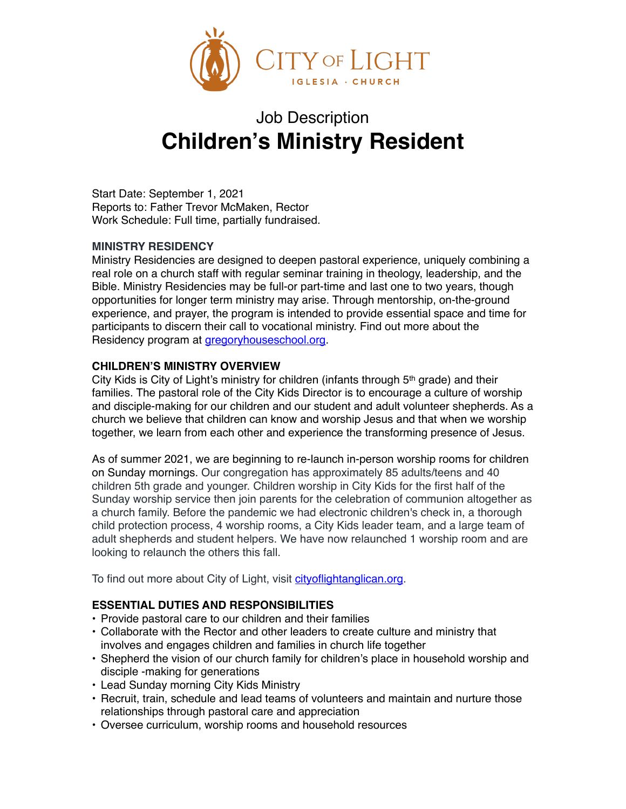

# Job Description **Children's Ministry Resident**

Start Date: September 1, 2021 Reports to: Father Trevor McMaken, Rector Work Schedule: Full time, partially fundraised.

## **MINISTRY RESIDENCY**

Ministry Residencies are designed to deepen pastoral experience, uniquely combining a real role on a church staff with regular seminar training in theology, leadership, and the Bible. Ministry Residencies may be full-or part-time and last one to two years, though opportunities for longer term ministry may arise. Through mentorship, on-the-ground experience, and prayer, the program is intended to provide essential space and time for participants to discern their call to vocational ministry. Find out more about the Residency program at gregoryhouseschool.org.

## **CHILDREN'S MINISTRY OVERVIEW**

City Kids is City of Light's ministry for children (infants through 5<sup>th</sup> grade) and their families. The pastoral role of the City Kids Director is to encourage a culture of worship and disciple-making for our children and our student and adult volunteer shepherds. As a church we believe that children can know and worship Jesus and that when we worship together, we learn from each other and experience the transforming presence of Jesus.

As of summer 2021, we are beginning to re-launch in-person worship rooms for children on Sunday mornings. Our congregation has approximately 85 adults/teens and 40 children 5th grade and younger. Children worship in City Kids for the first half of the Sunday worship service then join parents for the celebration of communion altogether as a church family. Before the pandemic we had electronic children's check in, a thorough child protection process, 4 worship rooms, a City Kids leader team, and a large team of adult shepherds and student helpers. We have now relaunched 1 worship room and are looking to relaunch the others this fall.

To find out more about City of Light, visit cityoflightanglican.org.

#### **ESSENTIAL DUTIES AND RESPONSIBILITIES**

- Provide pastoral care to our children and their families
- Collaborate with the Rector and other leaders to create culture and ministry that involves and engages children and families in church life together
- Shepherd the vision of our church family for children's place in household worship and disciple -making for generations
- Lead Sunday morning City Kids Ministry
- Recruit, train, schedule and lead teams of volunteers and maintain and nurture those relationships through pastoral care and appreciation
- Oversee curriculum, worship rooms and household resources